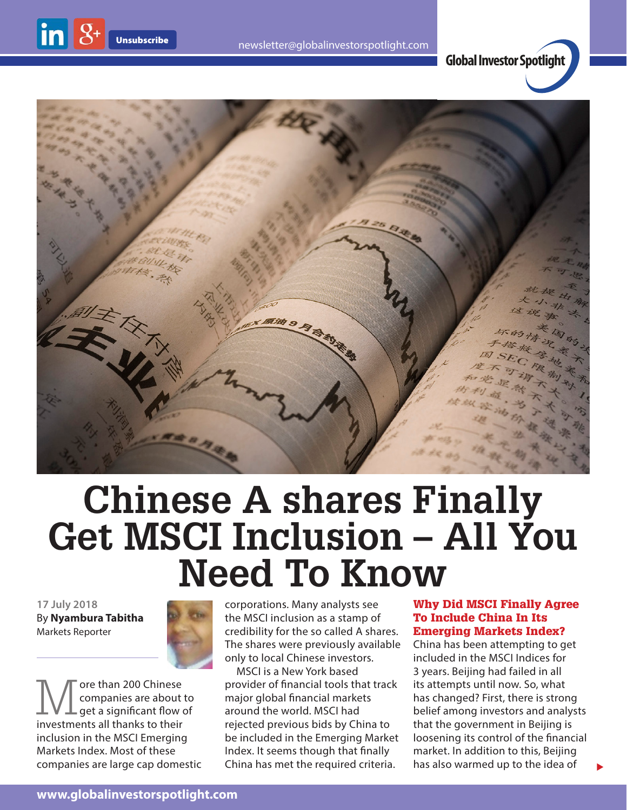

**Global Investor Spotlight**



# **Chinese A shares Finally Get MSCI Inclusion – All You Need To Know**

**17 July 2018** By **Nyambura Tabitha** Markets Reporter

 $\ln 8$ 



More than 200 Chinese<br>
companies are about<br>
investments all thanks to their companies are about to get a significant flow of investments all thanks to their inclusion in the MSCI Emerging Markets Index. Most of these companies are large cap domestic corporations. Many analysts see the MSCI inclusion as a stamp of credibility for the so called A shares. The shares were previously available only to local Chinese investors.

MSCI is a New York based provider of financial tools that track major global financial markets around the world. MSCI had rejected previous bids by China to be included in the Emerging Market Index. It seems though that finally China has met the required criteria.

### Why Did MSCI Finally Agree To Include China In Its Emerging Markets Index?

China has been attempting to get included in the MSCI Indices for 3 years. Beijing had failed in all its attempts until now. So, what has changed? First, there is strong belief among investors and analysts that the government in Beijing is loosening its control of the financial market. In addition to this, Beijing has also warmed up to the idea of

 $\blacktriangleright$